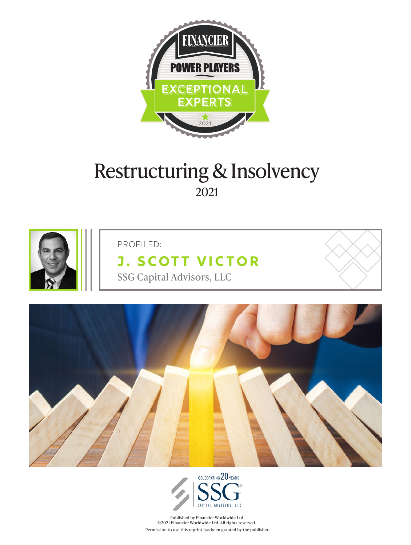

# Restructuring & Insolvency 2021



PROFILED:

## **[J. Scott Victor](https://www.ssgca.com/our_people/j-scott-victor/)** SSG Capital Advisors, LLC





Published by Financier Worldwide Ltd ©2021 Financier Worldwide Ltd. All rights reserved. Permission to use this reprint has been granted by the publisher.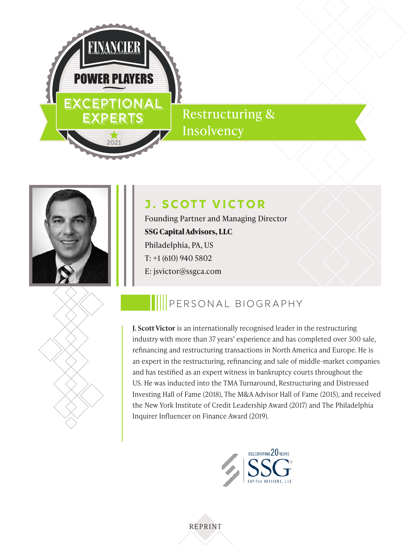

## Restructuring & Insolvency



### **[J. Scott Victor](https://www.ssgca.com/our_people/j-scott-victor/)**

Founding Partner and Managing Director **SSG Capital Advisors, LLC** Philadelphia, PA, US T: +1 (610) 940 5802 E: jsvictor@ssgca.com



## PERSONAL BIOGRAPHY

**J. Scott Victor** is an internationally recognised leader in the restructuring industry with more than 37 years' experience and has completed over 300 sale, refinancing and restructuring transactions in North America and Europe. He is an expert in the restructuring, refinancing and sale of middle-market companies and has testified as an expert witness in bankruptcy courts throughout the US. He was inducted into the TMA Turnaround, Restructuring and Distressed Investing Hall of Fame (2018), The M&A Advisor Hall of Fame (2015), and received the New York Institute of Credit Leadership Award (2017) and The Philadelphia Inquirer Influencer on Finance Award (2019).

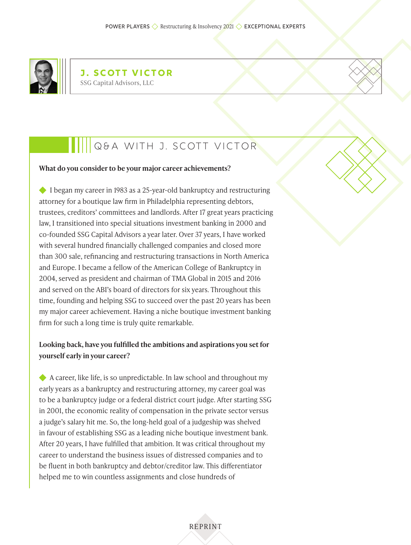

**J. Scott Victor** SSG Capital Advisors, LLC

### Q&A WITH J. Scott Victor

#### **What do you consider to be your major career achievements?**

◆ I began my career in 1983 as a 25-year-old bankruptcy and restructuring attorney for a boutique law firm in Philadelphia representing debtors, trustees, creditors' committees and landlords. After 17 great years practicing law, I transitioned into special situations investment banking in 2000 and co-founded SSG Capital Advisors a year later. Over 37 years, I have worked with several hundred financially challenged companies and closed more than 300 sale, refinancing and restructuring transactions in North America and Europe. I became a fellow of the American College of Bankruptcy in 2004, served as president and chairman of TMA Global in 2015 and 2016 and served on the ABI's board of directors for six years. Throughout this time, founding and helping SSG to succeed over the past 20 years has been my major career achievement. Having a niche boutique investment banking firm for such a long time is truly quite remarkable.

#### **Looking back, have you fulfilled the ambitions and aspirations you set for yourself early in your career?**

A career, like life, is so unpredictable. In law school and throughout my early years as a bankruptcy and restructuring attorney, my career goal was to be a bankruptcy judge or a federal district court judge. After starting SSG in 2001, the economic reality of compensation in the private sector versus a judge's salary hit me. So, the long-held goal of a judgeship was shelved in favour of establishing SSG as a leading niche boutique investment bank. After 20 years, I have fulfilled that ambition. It was critical throughout my career to understand the business issues of distressed companies and to be fluent in both bankruptcy and debtor/creditor law. This differentiator helped me to win countless assignments and close hundreds of

REPRINT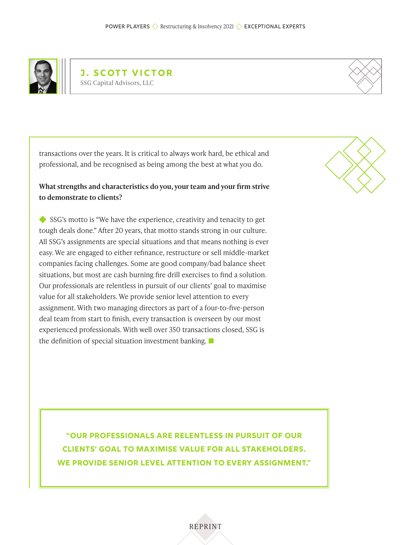

**J. Scott Victor** SSG Capital Advisors, LLC

transactions over the years. It is critical to always work hard, be ethical and professional, and be recognised as being among the best at what you do.

#### **What strengths and characteristics do you, your team and your firm strive to demonstrate to clients?**

SSG's motto is "We have the experience, creativity and tenacity to get tough deals done." After 20 years, that motto stands strong in our culture. All SSG's assignments are special situations and that means nothing is ever easy. We are engaged to either refinance, restructure or sell middle-market companies facing challenges. Some are good company/bad balance sheet situations, but most are cash burning fire drill exercises to find a solution. Our professionals are relentless in pursuit of our clients' goal to maximise value for all stakeholders. We provide senior level attention to every assignment. With two managing directors as part of a four-to-five-person deal team from start to finish, every transaction is overseen by our most experienced professionals. With well over 350 transactions closed, SSG is the definition of special situation investment banking.



**"Our professionals are relentless in pursuit of our clients' goal to maximise value for all stakeholders. We provide senior level attention to every assignment."**